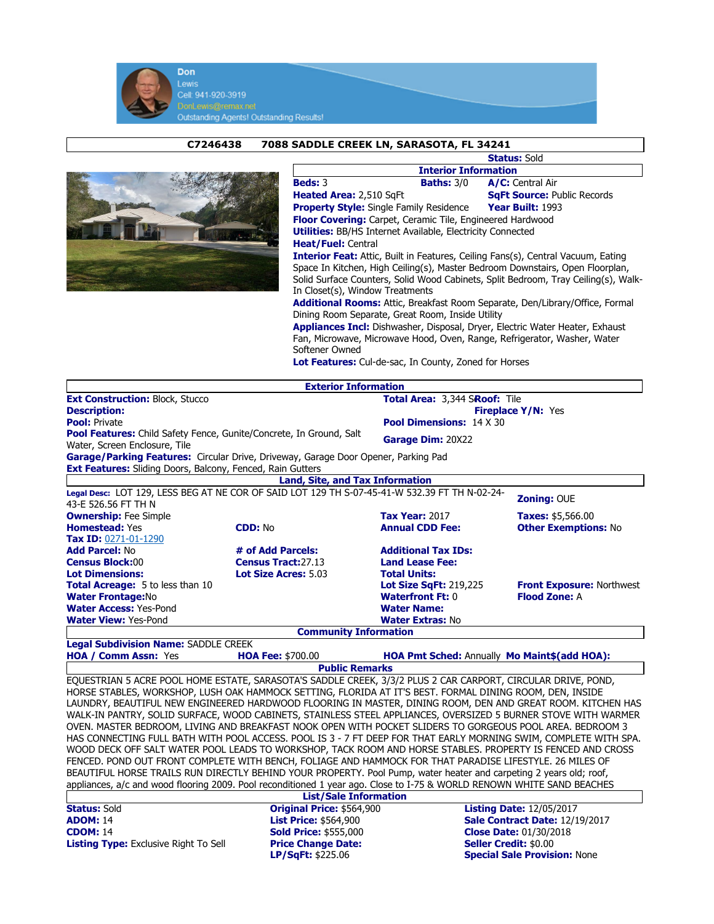

## C7246438 7088 SADDLE CREEK LN, SARASOTA, FL 34241



|                                                                                                                                                                                                                                                                                                   | <b>Status: Sold</b>                |  |  |  |
|---------------------------------------------------------------------------------------------------------------------------------------------------------------------------------------------------------------------------------------------------------------------------------------------------|------------------------------------|--|--|--|
| <b>Interior Information</b>                                                                                                                                                                                                                                                                       |                                    |  |  |  |
| <b>Beds: 3</b><br><b>Baths: 3/0</b>                                                                                                                                                                                                                                                               | A/C: Central Air                   |  |  |  |
| Heated Area: 2,510 SqFt                                                                                                                                                                                                                                                                           | <b>SgFt Source: Public Records</b> |  |  |  |
| <b>Property Style:</b> Single Family Residence                                                                                                                                                                                                                                                    | Year Built: 1993                   |  |  |  |
| <b>Floor Covering:</b> Carpet, Ceramic Tile, Engineered Hardwood                                                                                                                                                                                                                                  |                                    |  |  |  |
| <b>Utilities:</b> BB/HS Internet Available, Electricity Connected                                                                                                                                                                                                                                 |                                    |  |  |  |
| <b>Heat/Fuel: Central</b>                                                                                                                                                                                                                                                                         |                                    |  |  |  |
| <b>Interior Feat:</b> Attic, Built in Features, Ceiling Fans(s), Central Vacuum, Eating<br>Space In Kitchen, High Ceiling(s), Master Bedroom Downstairs, Open Floorplan,<br>Solid Surface Counters, Solid Wood Cabinets, Split Bedroom, Tray Ceiling(s), Walk-<br>In Closet(s), Window Treatments |                                    |  |  |  |
| <b>Additional Rooms:</b> Attic, Breakfast Room Separate, Den/Library/Office, Formal<br>Dining Room Separate, Great Room, Inside Utility<br><b>Appliances Incl:</b> Dishwasher, Disposal, Dryer, Electric Water Heater, Exhaust                                                                    |                                    |  |  |  |
| Fan, Microwaye, Microwaye Hood, Oven, Range, Refrigerator, Washer, Water                                                                                                                                                                                                                          |                                    |  |  |  |

lood, Oven, Range, Refrigerator, Washer, Softener Owned

Lot Features: Cul-de-sac, In County, Zoned for Horses

|                                                                                                                        | <b>Exterior Information</b>            |                                              |                                     |  |  |
|------------------------------------------------------------------------------------------------------------------------|----------------------------------------|----------------------------------------------|-------------------------------------|--|--|
| <b>Ext Construction: Block, Stucco</b>                                                                                 |                                        | Total Area: 3,344 SRoof: Tile                |                                     |  |  |
| <b>Description:</b>                                                                                                    |                                        | <b>Fireplace Y/N: Yes</b>                    |                                     |  |  |
| <b>Pool: Private</b>                                                                                                   |                                        | <b>Pool Dimensions: 14 X 30</b>              |                                     |  |  |
| <b>Pool Features:</b> Child Safety Fence, Gunite/Concrete, In Ground, Salt                                             |                                        | Garage Dim: 20X22                            |                                     |  |  |
| Water, Screen Enclosure, Tile                                                                                          |                                        |                                              |                                     |  |  |
| Garage/Parking Features: Circular Drive, Driveway, Garage Door Opener, Parking Pad                                     |                                        |                                              |                                     |  |  |
| Ext Features: Sliding Doors, Balcony, Fenced, Rain Gutters                                                             |                                        |                                              |                                     |  |  |
|                                                                                                                        | <b>Land, Site, and Tax Information</b> |                                              |                                     |  |  |
| Legal Desc: LOT 129, LESS BEG AT NE COR OF SAID LOT 129 TH S-07-45-41-W 532.39 FT TH N-02-24-                          |                                        |                                              | <b>Zoning: OUE</b>                  |  |  |
| 43-E 526.56 FT TH N                                                                                                    |                                        |                                              |                                     |  |  |
| <b>Ownership:</b> Fee Simple                                                                                           |                                        | <b>Tax Year: 2017</b>                        | <b>Taxes: \$5,566.00</b>            |  |  |
| <b>Homestead: Yes</b>                                                                                                  | <b>CDD: No</b>                         | <b>Annual CDD Fee:</b>                       | <b>Other Exemptions: No</b>         |  |  |
| Tax ID: 0271-01-1290                                                                                                   |                                        |                                              |                                     |  |  |
| <b>Add Parcel: No</b>                                                                                                  | # of Add Parcels:                      | <b>Additional Tax IDs:</b>                   |                                     |  |  |
| <b>Census Block:00</b>                                                                                                 | <b>Census Tract:27.13</b>              | <b>Land Lease Fee:</b>                       |                                     |  |  |
| <b>Lot Dimensions:</b>                                                                                                 | Lot Size Acres: 5.03                   | <b>Total Units:</b>                          |                                     |  |  |
| <b>Total Acreage: 5 to less than 10</b>                                                                                |                                        | <b>Lot Size SqFt: 219,225</b>                | <b>Front Exposure: Northwest</b>    |  |  |
| <b>Water Frontage:No</b>                                                                                               |                                        | <b>Waterfront Ft: 0</b>                      | <b>Flood Zone: A</b>                |  |  |
| <b>Water Access: Yes-Pond</b>                                                                                          |                                        | <b>Water Name:</b>                           |                                     |  |  |
| <b>Water View: Yes-Pond</b>                                                                                            |                                        | <b>Water Extras: No</b>                      |                                     |  |  |
|                                                                                                                        | <b>Community Information</b>           |                                              |                                     |  |  |
| <b>Legal Subdivision Name: SADDLE CREEK</b>                                                                            |                                        |                                              |                                     |  |  |
| <b>HOA / Comm Assn: Yes</b>                                                                                            | <b>HOA Fee: \$700.00</b>               | HOA Pmt Sched: Annually Mo Maint\$(add HOA): |                                     |  |  |
|                                                                                                                        | <b>Public Remarks</b>                  |                                              |                                     |  |  |
| EQUESTRIAN 5 ACRE POOL HOME ESTATE, SARASOTA'S SADDLE CREEK, 3/3/2 PLUS 2 CAR CARPORT, CIRCULAR DRIVE, POND,           |                                        |                                              |                                     |  |  |
| HORSE STABLES, WORKSHOP, LUSH OAK HAMMOCK SETTING, FLORIDA AT IT'S BEST. FORMAL DINING ROOM, DEN, INSIDE               |                                        |                                              |                                     |  |  |
| LAUNDRY, BEAUTIFUL NEW ENGINEERED HARDWOOD FLOORING IN MASTER, DINING ROOM, DEN AND GREAT ROOM. KITCHEN HAS            |                                        |                                              |                                     |  |  |
| WALK-IN PANTRY, SOLID SURFACE, WOOD CABINETS, STAINLESS STEEL APPLIANCES, OVERSIZED 5 BURNER STOVE WITH WARMER         |                                        |                                              |                                     |  |  |
| OVEN. MASTER BEDROOM, LIVING AND BREAKFAST NOOK OPEN WITH POCKET SLIDERS TO GORGEOUS POOL AREA. BEDROOM 3              |                                        |                                              |                                     |  |  |
| HAS CONNECTING FULL BATH WITH POOL ACCESS. POOL IS 3 - 7 FT DEEP FOR THAT EARLY MORNING SWIM, COMPLETE WITH SPA.       |                                        |                                              |                                     |  |  |
| WOOD DECK OFF SALT WATER POOL LEADS TO WORKSHOP, TACK ROOM AND HORSE STABLES. PROPERTY IS FENCED AND CROSS             |                                        |                                              |                                     |  |  |
| FENCED. POND OUT FRONT COMPLETE WITH BENCH, FOLIAGE AND HAMMOCK FOR THAT PARADISE LIFESTYLE. 26 MILES OF               |                                        |                                              |                                     |  |  |
| BEAUTIFUL HORSE TRAILS RUN DIRECTLY BEHIND YOUR PROPERTY. Pool Pump, water heater and carpeting 2 years old; roof,     |                                        |                                              |                                     |  |  |
| appliances, a/c and wood flooring 2009. Pool reconditioned 1 year ago. Close to I-75 & WORLD RENOWN WHITE SAND BEACHES |                                        |                                              |                                     |  |  |
| <b>List/Sale Information</b>                                                                                           |                                        |                                              |                                     |  |  |
| <b>Status: Sold</b>                                                                                                    | Original Price: \$564,900              |                                              | <b>Listing Date: 12/05/2017</b>     |  |  |
| <b>ADOM: 14</b>                                                                                                        | <b>List Price: \$564,900</b>           |                                              | Sale Contract Date: 12/19/2017      |  |  |
| <b>CDOM: 14</b>                                                                                                        | <b>Sold Price: \$555,000</b>           |                                              | <b>Close Date: 01/30/2018</b>       |  |  |
| <b>Listing Type:</b> Exclusive Right To Sell                                                                           | <b>Price Change Date:</b>              |                                              | <b>Seller Credit: \$0.00</b>        |  |  |
|                                                                                                                        | LP/SqFt: \$225.06                      |                                              | <b>Special Sale Provision: None</b> |  |  |